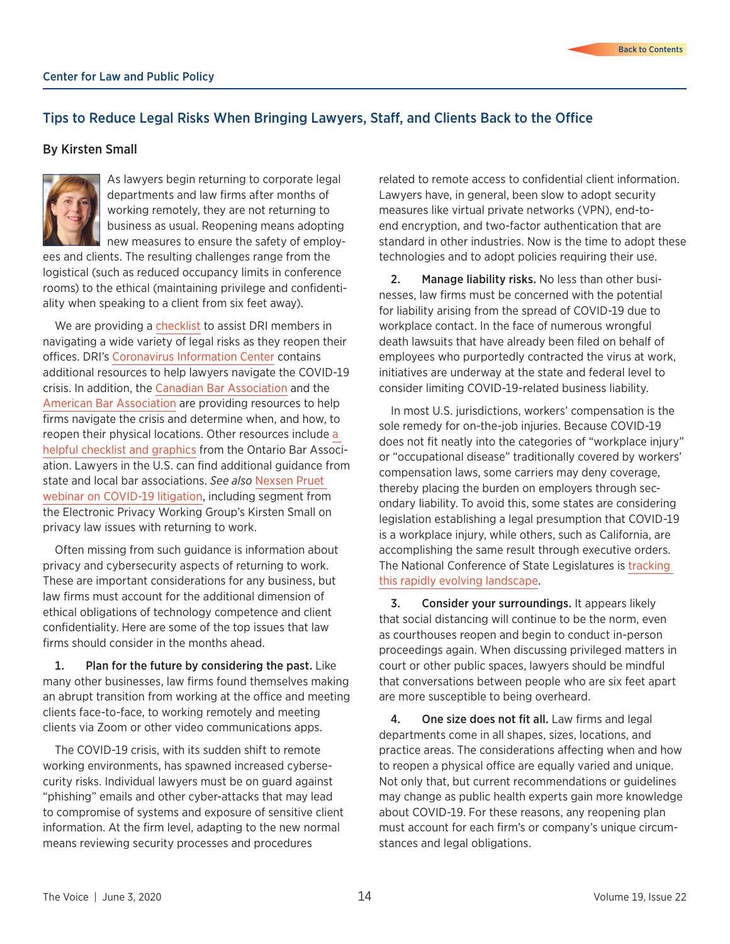## Tips to Reduce Legal Risks When Bringing Lawyers, Staff, and Clients Back to the Office

## By Kirsten Small



As lawyers begin returning to corporate legal departments and law firms after months of working remotely, they are not returning to business as usual. Reopening means adopting new measures to ensure the safety of employ-

ees and clients. The resulting challenges range from the logistical (such as reduced occupancy limits in conference rooms) to the ethical (maintaining privilege and confidentiality when speaking to a client from six feet away).

We are providing a [checklist](https://feyllc.com/wp-content/uploads/2020/06/2020-Fey-LLC-Checklist-of-Key-COVID-19-Considerations-for-U.S.-Return-to-Work.pdf) to assist DRI members in navigating a wide variety of legal risks as they reopen their offices. DRI's [Coronavirus Information Center](https://www.dri.org/about/coronavirus-resources) contains additional resources to help lawyers navigate the COVID-19 crisis. In addition, the [Canadian Bar Association](https://bit.ly/2B3j1Oc) and the [American Bar Association](https://bit.ly/2M5GC38) are providing resources to help firms navigate the crisis and determine when, and how, to reopen their physical locations. Other resources include [a](https://bit.ly/2X8wY67)  [helpful checklist and graphics](https://bit.ly/2X8wY67) from the Ontario Bar Association. Lawyers in the U.S. can find additional guidance from state and local bar associations. *See also* [Nexsen Pruet](https://www.youtube.com/watch?v=VLjXXU9KK6g&feature=youtu.be)  [webinar on COVID-19 litigation](https://www.youtube.com/watch?v=VLjXXU9KK6g&feature=youtu.be), including segment from the Electronic Privacy Working Group's Kirsten Small on privacy law issues with returning to work.

Often missing from such guidance is information about privacy and cybersecurity aspects of returning to work. These are important considerations for any business, but law firms must account for the additional dimension of ethical obligations of technology competence and client confidentiality. Here are some of the top issues that law firms should consider in the months ahead.

1. Plan for the future by considering the past. Like many other businesses, law firms found themselves making an abrupt transition from working at the office and meeting clients face-to-face, to working remotely and meeting clients via Zoom or other video communications apps.

The COVID-19 crisis, with its sudden shift to remote working environments, has spawned increased cybersecurity risks. Individual lawyers must be on guard against "phishing" emails and other cyber-attacks that may lead to compromise of systems and exposure of sensitive client information. At the firm level, adapting to the new normal means reviewing security processes and procedures

related to remote access to confidential client information. Lawyers have, in general, been slow to adopt security measures like virtual private networks (VPN), end-toend encryption, and two-factor authentication that are standard in other industries. Now is the time to adopt these technologies and to adopt policies requiring their use.

2. Manage liability risks. No less than other businesses, law firms must be concerned with the potential for liability arising from the spread of COVID-19 due to workplace contact. In the face of numerous wrongful death lawsuits that have already been filed on behalf of employees who purportedly contracted the virus at work, initiatives are underway at the state and federal level to consider limiting COVID-19-related business liability.

In most U.S. jurisdictions, workers' compensation is the sole remedy for on-the-job injuries. Because COVID-19 does not fit neatly into the categories of "workplace injury" or "occupational disease" traditionally covered by workers' compensation laws, some carriers may deny coverage, thereby placing the burden on employers through secondary liability. To avoid this, some states are considering legislation establishing a legal presumption that COVID-19 is a workplace injury, while others, such as California, are accomplishing the same result through executive orders. The National Conference of State Legislatures is [tracking](https://www.ncsl.org/research/labor-and-employment/covid-19-workers-compensation.aspx)  [this rapidly evolving landscape.](https://www.ncsl.org/research/labor-and-employment/covid-19-workers-compensation.aspx)

3. Consider your surroundings. It appears likely that social distancing will continue to be the norm, even as courthouses reopen and begin to conduct in-person proceedings again. When discussing privileged matters in court or other public spaces, lawyers should be mindful that conversations between people who are six feet apart are more susceptible to being overheard.

4. One size does not fit all. Law firms and legal departments come in all shapes, sizes, locations, and practice areas. The considerations affecting when and how to reopen a physical office are equally varied and unique. Not only that, but current recommendations or guidelines may change as public health experts gain more knowledge about COVID-19. For these reasons, any reopening plan must account for each firm's or company's unique circumstances and legal obligations.